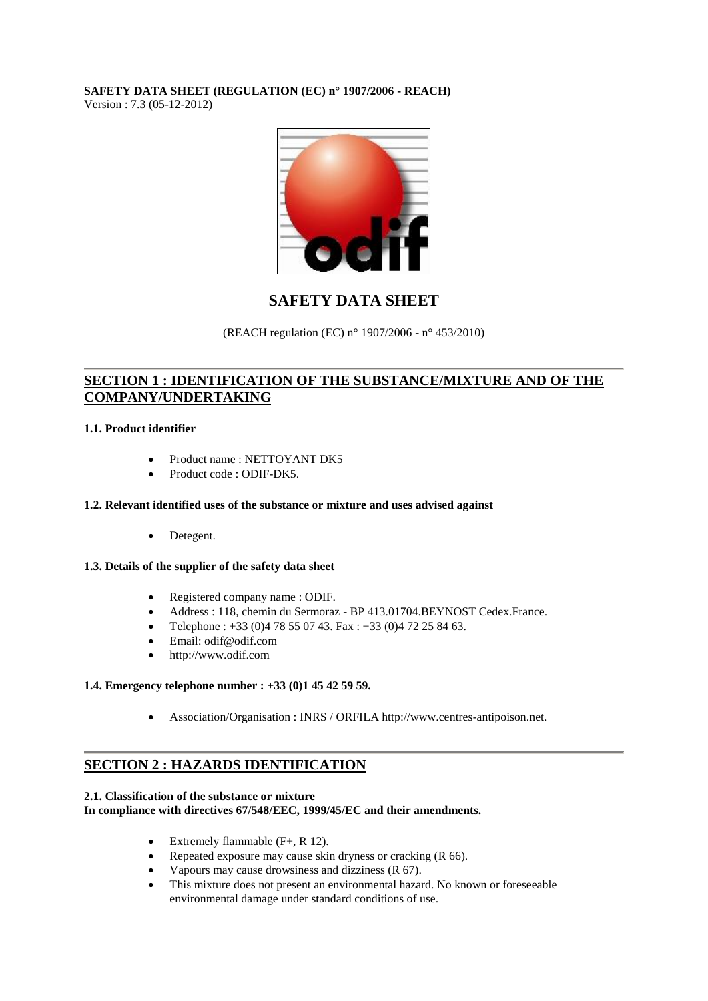### **SAFETY DATA SHEET (REGULATION (EC) n° 1907/2006 - REACH)** Version : 7.3 (05-12-2012)



# **SAFETY DATA SHEET**

(REACH regulation (EC) n° 1907/2006 - n° 453/2010)

## **SECTION 1 : IDENTIFICATION OF THE SUBSTANCE/MIXTURE AND OF THE COMPANY/UNDERTAKING**

## **1.1. Product identifier**

- Product name : NETTOYANT DK5
- Product code : ODIF-DK5.

## **1.2. Relevant identified uses of the substance or mixture and uses advised against**

• Detegent.

## **1.3. Details of the supplier of the safety data sheet**

- Registered company name : ODIF.
- Address : 118, chemin du Sermoraz BP 413.01704.BEYNOST Cedex.France.
- Telephone :  $+33$  (0)4 78 55 07 43. Fax :  $+33$  (0)4 72 25 84 63.
- Email: odif@odif.com
- http://www.odif.com

## **1.4. Emergency telephone number : +33 (0)1 45 42 59 59.**

Association/Organisation : INRS / ORFILA http://www.centres-antipoison.net.

## **SECTION 2 : HAZARDS IDENTIFICATION**

## **2.1. Classification of the substance or mixture**

**In compliance with directives 67/548/EEC, 1999/45/EC and their amendments.**

- Extremely flammable  $(F+, R\ 12)$ .
- Repeated exposure may cause skin dryness or cracking (R 66).
- Vapours may cause drowsiness and dizziness (R 67).
- This mixture does not present an environmental hazard. No known or foreseeable environmental damage under standard conditions of use.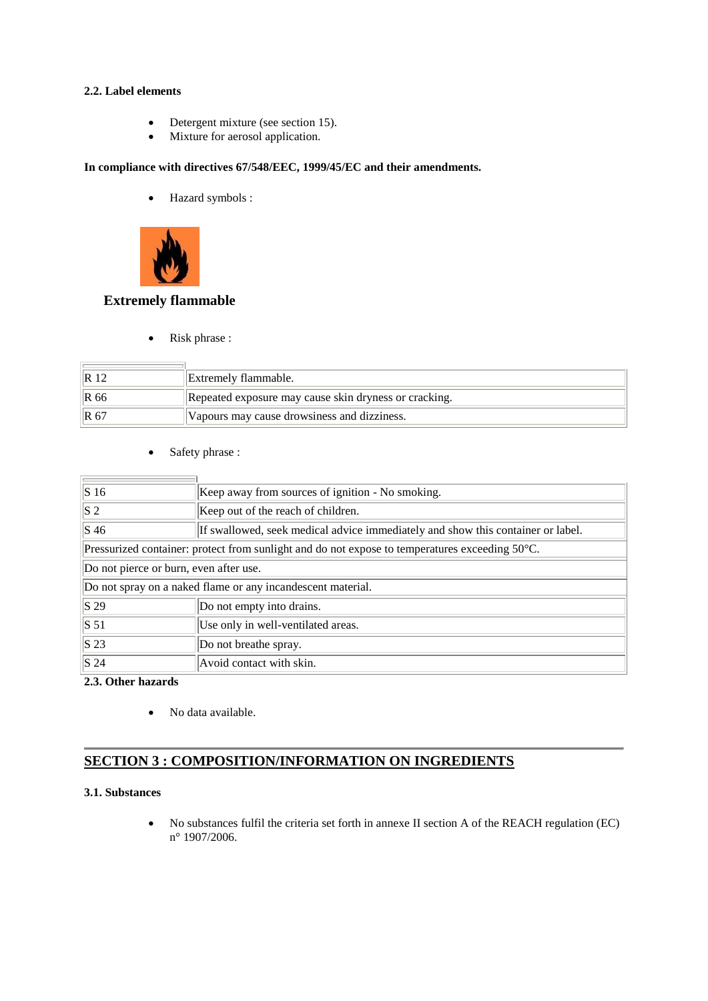### **2.2. Label elements**

- Detergent mixture (see section 15).
- Mixture for aerosol application.

## **In compliance with directives 67/548/EEC, 1999/45/EC and their amendments.**

Hazard symbols :



## **Extremely flammable**

• Risk phrase :

|       | Extremely flammable.                                  |
|-------|-------------------------------------------------------|
| IR 66 | Repeated exposure may cause skin dryness or cracking. |
| IR 67 | Vapours may cause drowsiness and dizziness.           |

• Safety phrase :

| $\vert S\vert 16$                                                                              | Keep away from sources of ignition - No smoking.                                |  |  |
|------------------------------------------------------------------------------------------------|---------------------------------------------------------------------------------|--|--|
| $ S_2 $                                                                                        | Keep out of the reach of children.                                              |  |  |
| $\vert$ S 46                                                                                   | If swallowed, seek medical advice immediately and show this container or label. |  |  |
| Pressurized container: protect from sunlight and do not expose to temperatures exceeding 50°C. |                                                                                 |  |  |
| Do not pierce or burn, even after use.                                                         |                                                                                 |  |  |
| Do not spray on a naked flame or any incandescent material.                                    |                                                                                 |  |  |
| $\vert$ S 29                                                                                   | Do not empty into drains.                                                       |  |  |
| $\vert$ S 51                                                                                   | Use only in well-ventilated areas.                                              |  |  |
| S <sub>23</sub>                                                                                | Do not breathe spray.                                                           |  |  |
| $\vert$ S 24                                                                                   | Avoid contact with skin.                                                        |  |  |

**2.3. Other hazards**

• No data available.

## **SECTION 3 : COMPOSITION/INFORMATION ON INGREDIENTS**

## **3.1. Substances**

 No substances fulfil the criteria set forth in annexe II section A of the REACH regulation (EC) n° 1907/2006.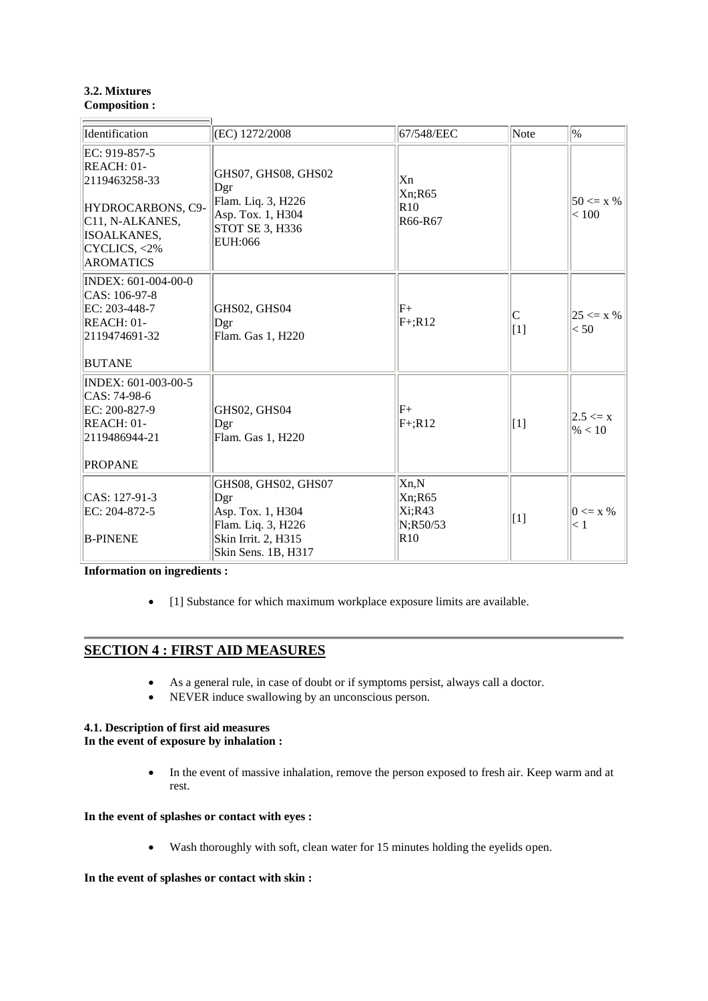### **3.2. Mixtures Composition :**

 $\overline{\phantom{0}}$ 

| Identification                                                                                                                                       | (EC) 1272/2008                                                                                                      | 67/548/EEC                                   | Note        | $ _{\%}$                             |
|------------------------------------------------------------------------------------------------------------------------------------------------------|---------------------------------------------------------------------------------------------------------------------|----------------------------------------------|-------------|--------------------------------------|
| EC: 919-857-5<br>REACH: 01-<br>2119463258-33<br>HYDROCARBONS, C9-<br>C <sub>11</sub> , N-ALKANES,<br>ISOALKANES,<br>CYCLICS, <2%<br><b>AROMATICS</b> | GHS07, GHS08, GHS02<br>Dgr<br>Flam. Liq. 3, H226<br>Asp. Tox. 1, H304<br>STOT SE 3, H336<br>EUH:066                 | Xn<br>Xn; R65<br>R10<br>R66-R67              |             | $50 \le x \%$<br>< 100               |
| INDEX: 601-004-00-0<br>CAS: 106-97-8<br>EC: 203-448-7<br><b>REACH: 01-</b><br>2119474691-32<br><b>BUTANE</b>                                         | GHS02, GHS04<br>Dgr<br>Flam. Gas 1, H220                                                                            | $ F+$<br>$F+;R12$                            | C<br>[1]    | $ 25 \le x \% $<br>< 50              |
| INDEX: 601-003-00-5<br>CAS: 74-98-6<br>EC: 200-827-9<br>REACH: 01-<br>2119486944-21<br><b>PROPANE</b>                                                | GHS02, GHS04<br>Dgr<br>Flam. Gas 1, H220                                                                            | $F_{+}$<br>$F+;R12$                          | $\vert$ [1] | $ 2.5 \le x $<br>$\frac{96}{6}$ < 10 |
| $CAS: 127-91-3$<br>EC: 204-872-5<br><b>B-PINENE</b>                                                                                                  | GHS08, GHS02, GHS07<br>Dgr<br>Asp. Tox. 1, H304<br>Flam. Liq. 3, H226<br>Skin Irrit. 2, H315<br>Skin Sens. 1B, H317 | Xn,N<br>Xn; R65<br>Xi;R43<br>N;R50/53<br>R10 | $\vert$ [1] | $0 \le x \%$<br>$\leq 1$             |

**Information on ingredients :**

• [1] Substance for which maximum workplace exposure limits are available.

## **SECTION 4 : FIRST AID MEASURES**

- As a general rule, in case of doubt or if symptoms persist, always call a doctor.
- NEVER induce swallowing by an unconscious person.

# **4.1. Description of first aid measures**

**In the event of exposure by inhalation :**

• In the event of massive inhalation, remove the person exposed to fresh air. Keep warm and at rest.

## **In the event of splashes or contact with eyes :**

Wash thoroughly with soft, clean water for 15 minutes holding the eyelids open.

### **In the event of splashes or contact with skin :**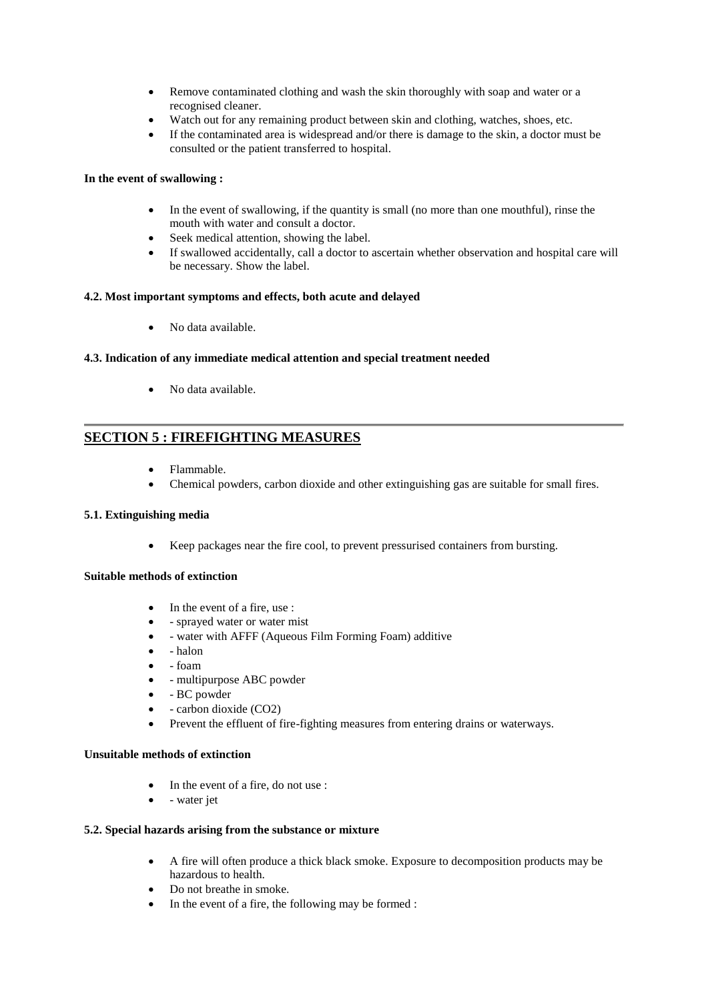- Remove contaminated clothing and wash the skin thoroughly with soap and water or a recognised cleaner.
- Watch out for any remaining product between skin and clothing, watches, shoes, etc.
- If the contaminated area is widespread and/or there is damage to the skin, a doctor must be consulted or the patient transferred to hospital.

### **In the event of swallowing :**

- In the event of swallowing, if the quantity is small (no more than one mouthful), rinse the mouth with water and consult a doctor.
- Seek medical attention, showing the label.
- If swallowed accidentally, call a doctor to ascertain whether observation and hospital care will be necessary. Show the label.

### **4.2. Most important symptoms and effects, both acute and delayed**

• No data available.

### **4.3. Indication of any immediate medical attention and special treatment needed**

• No data available.

## **SECTION 5 : FIREFIGHTING MEASURES**

- Flammable.
- Chemical powders, carbon dioxide and other extinguishing gas are suitable for small fires.

### **5.1. Extinguishing media**

Keep packages near the fire cool, to prevent pressurised containers from bursting.

### **Suitable methods of extinction**

- In the event of a fire, use :
- sprayed water or water mist
- water with AFFF (Aqueous Film Forming Foam) additive
- halon
- foam
- - multipurpose ABC powder
- BC powder
- carbon dioxide (CO2)
- Prevent the effluent of fire-fighting measures from entering drains or waterways.

### **Unsuitable methods of extinction**

- In the event of a fire, do not use :
- water jet

### **5.2. Special hazards arising from the substance or mixture**

- A fire will often produce a thick black smoke. Exposure to decomposition products may be hazardous to health.
- Do not breathe in smoke.
- In the event of a fire, the following may be formed :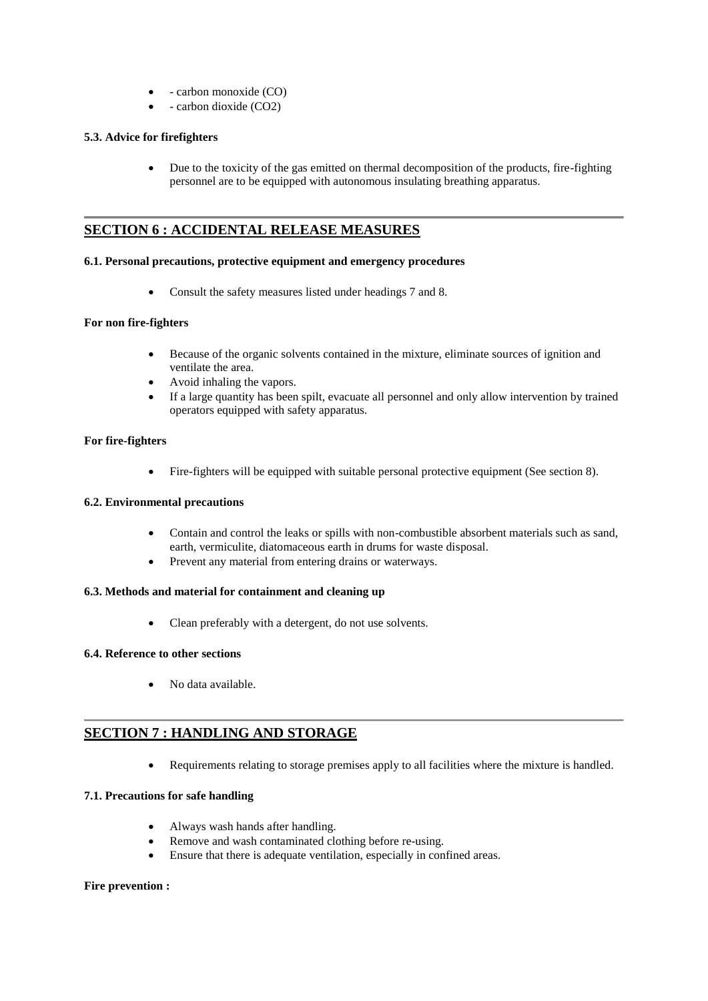- carbon monoxide (CO)
- carbon dioxide (CO2)

### **5.3. Advice for firefighters**

 Due to the toxicity of the gas emitted on thermal decomposition of the products, fire-fighting personnel are to be equipped with autonomous insulating breathing apparatus.

## **SECTION 6 : ACCIDENTAL RELEASE MEASURES**

#### **6.1. Personal precautions, protective equipment and emergency procedures**

Consult the safety measures listed under headings 7 and 8.

### **For non fire-fighters**

- Because of the organic solvents contained in the mixture, eliminate sources of ignition and ventilate the area.
- Avoid inhaling the vapors.
- If a large quantity has been spilt, evacuate all personnel and only allow intervention by trained operators equipped with safety apparatus.

#### **For fire-fighters**

Fire-fighters will be equipped with suitable personal protective equipment (See section 8).

### **6.2. Environmental precautions**

- Contain and control the leaks or spills with non-combustible absorbent materials such as sand, earth, vermiculite, diatomaceous earth in drums for waste disposal.
- Prevent any material from entering drains or waterways.

### **6.3. Methods and material for containment and cleaning up**

Clean preferably with a detergent, do not use solvents.

### **6.4. Reference to other sections**

No data available.

## **SECTION 7 : HANDLING AND STORAGE**

Requirements relating to storage premises apply to all facilities where the mixture is handled.

### **7.1. Precautions for safe handling**

- Always wash hands after handling.
- Remove and wash contaminated clothing before re-using.
- Ensure that there is adequate ventilation, especially in confined areas.

### **Fire prevention :**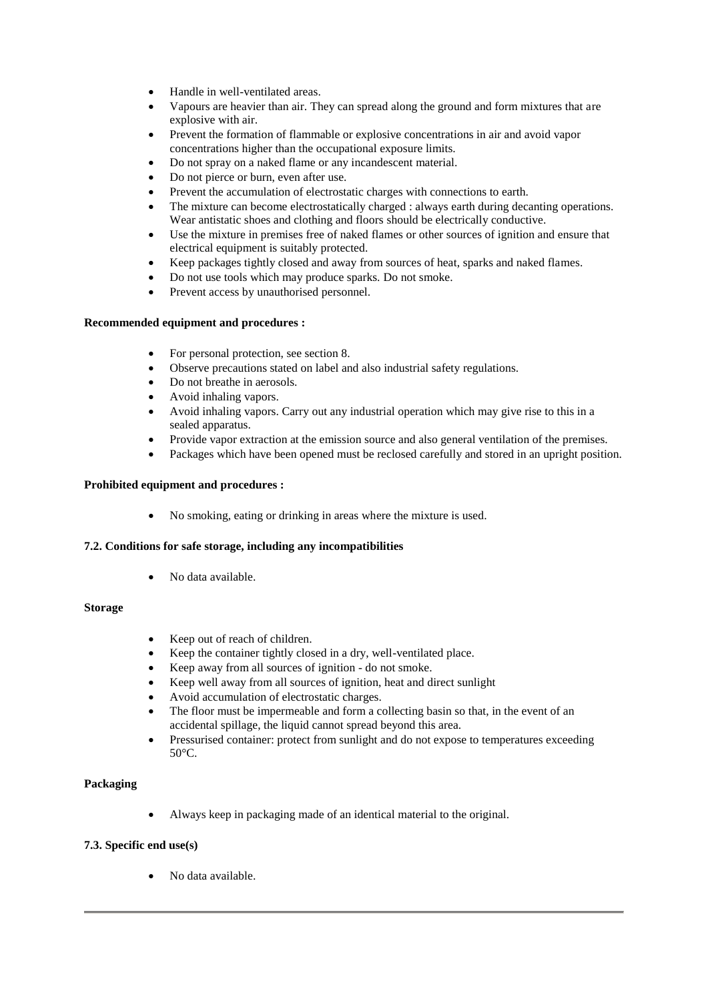- Handle in well-ventilated areas.
- Vapours are heavier than air. They can spread along the ground and form mixtures that are explosive with air.
- Prevent the formation of flammable or explosive concentrations in air and avoid vapor concentrations higher than the occupational exposure limits.
- Do not spray on a naked flame or any incandescent material.
- Do not pierce or burn, even after use.
- Prevent the accumulation of electrostatic charges with connections to earth.
- The mixture can become electrostatically charged : always earth during decanting operations. Wear antistatic shoes and clothing and floors should be electrically conductive.
- Use the mixture in premises free of naked flames or other sources of ignition and ensure that electrical equipment is suitably protected.
- Keep packages tightly closed and away from sources of heat, sparks and naked flames.
- Do not use tools which may produce sparks. Do not smoke.
- Prevent access by unauthorised personnel.

### **Recommended equipment and procedures :**

- For personal protection, see section 8.
- Observe precautions stated on label and also industrial safety regulations.
- Do not breathe in aerosols.
- Avoid inhaling vapors.
- Avoid inhaling vapors. Carry out any industrial operation which may give rise to this in a sealed apparatus.
- Provide vapor extraction at the emission source and also general ventilation of the premises.
- Packages which have been opened must be reclosed carefully and stored in an upright position.

### **Prohibited equipment and procedures :**

No smoking, eating or drinking in areas where the mixture is used.

### **7.2. Conditions for safe storage, including any incompatibilities**

No data available.

### **Storage**

- Keep out of reach of children.
- Keep the container tightly closed in a dry, well-ventilated place.
- Keep away from all sources of ignition do not smoke.
- Keep well away from all sources of ignition, heat and direct sunlight
- Avoid accumulation of electrostatic charges.
- The floor must be impermeable and form a collecting basin so that, in the event of an accidental spillage, the liquid cannot spread beyond this area.
- Pressurised container: protect from sunlight and do not expose to temperatures exceeding  $50^{\circ}$ C.

## **Packaging**

Always keep in packaging made of an identical material to the original.

### **7.3. Specific end use(s)**

No data available.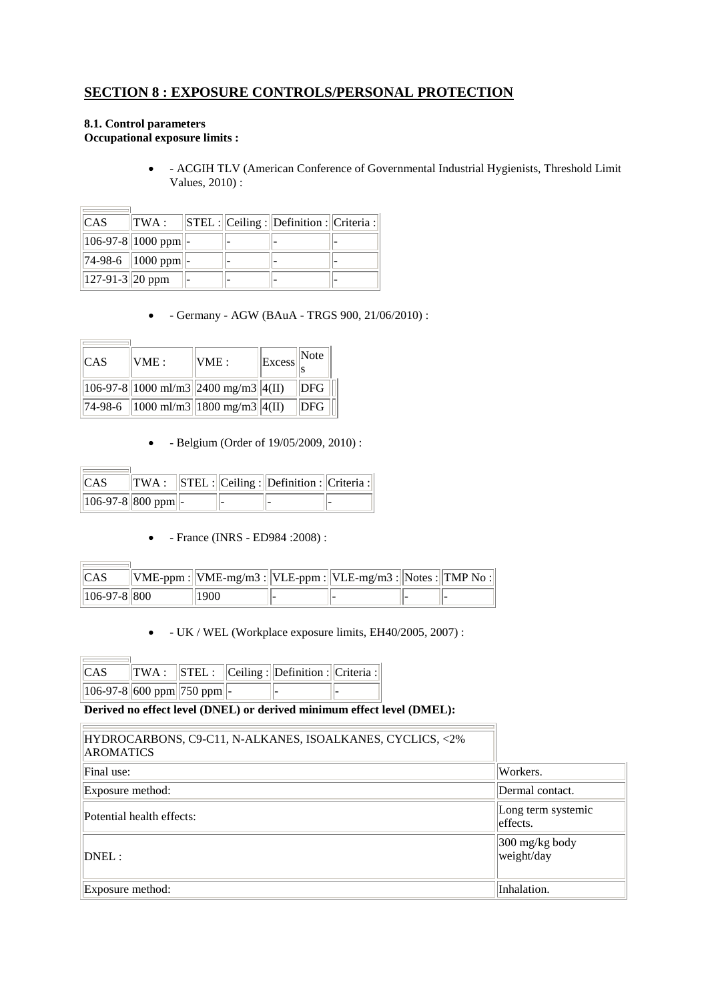## **SECTION 8 : EXPOSURE CONTROLS/PERSONAL PROTECTION**

### **8.1. Control parameters Occupational exposure limits :**

**Contract Contract** 

 $\overline{\phantom{a}}$ 

 $\sim$ 

 $\overline{a}$ 

i.

 - ACGIH TLV (American Conference of Governmental Industrial Hygienists, Threshold Limit Values, 2010) :

| ICAS                 | TWA :                        |  | $  $ STEL : $  $ Ceiling : $  $ Definition : $  $ Criteria : $  $ |  |
|----------------------|------------------------------|--|-------------------------------------------------------------------|--|
|                      | $  106-97-8  1000$ ppm $  -$ |  |                                                                   |  |
|                      | $\ 74-98-6\ 1000$ ppm -      |  |                                                                   |  |
| $  127-91-3  20$ ppm |                              |  |                                                                   |  |

- Germany - AGW (BAuA - TRGS 900, 21/06/2010) :

| ICAS | VME: | VME:                                                                                             | $  $ Excess $  $ Note $  $ |                 |
|------|------|--------------------------------------------------------------------------------------------------|----------------------------|-----------------|
|      |      | $\left 106-97-8\right 1000 \text{ ml/m}3\right 2400 \text{ mg/m}3\right 4\left(\text{II}\right)$ |                            | $\parallel$ DFG |
|      |      | 74-98-6   1000 ml/m3  1800 mg/m3  4(II)                                                          |                            | <b>DFG</b>      |

- Belgium (Order of 19/05/2009, 2010) :

| ICAS                       |  | $\ TWA: \ STEL:  Ceiling:  Definition:  Criteria:  $ |  |
|----------------------------|--|------------------------------------------------------|--|
| $  106-97-8  800$ ppm $ -$ |  |                                                      |  |

- France (INRS - ED984 :2008) :

| <b>ICAS</b>       | $\ \text{VME-ppm}:\ \text{VME-mg/m3}:\ \text{VLE-ppm}:\ \text{VLE-mg/m3}:\ \text{Notes}:\ \text{TMP No}:\ $ |  |  |
|-------------------|-------------------------------------------------------------------------------------------------------------|--|--|
| $  106-97-8  800$ | 1900                                                                                                        |  |  |

- UK / WEL (Workplace exposure limits, EH40/2005, 2007) :

| <sub>CAS</sub>                           |  | $\ TWA: \ STEL: \ Ceiling: \ Definition: Criteria: \ $ |  |
|------------------------------------------|--|--------------------------------------------------------|--|
| $  106-97-8  600$ ppm $  750$ ppm $  $ - |  |                                                        |  |

### **Derived no effect level (DNEL) or derived minimum effect level (DMEL):**

| HYDROCARBONS, C9-C11, N-ALKANES, ISOALKANES, CYCLICS, <2%<br><b>AROMATICS</b> |                                         |
|-------------------------------------------------------------------------------|-----------------------------------------|
| Final use:                                                                    | Workers.                                |
| Exposure method:                                                              | Dermal contact.                         |
| Potential health effects:                                                     | Long term systemic<br>leffects.         |
| $DNEL$ :                                                                      | $ 300 \text{ mg/kg}$ body<br>weight/day |
| Exposure method:                                                              | Inhalation.                             |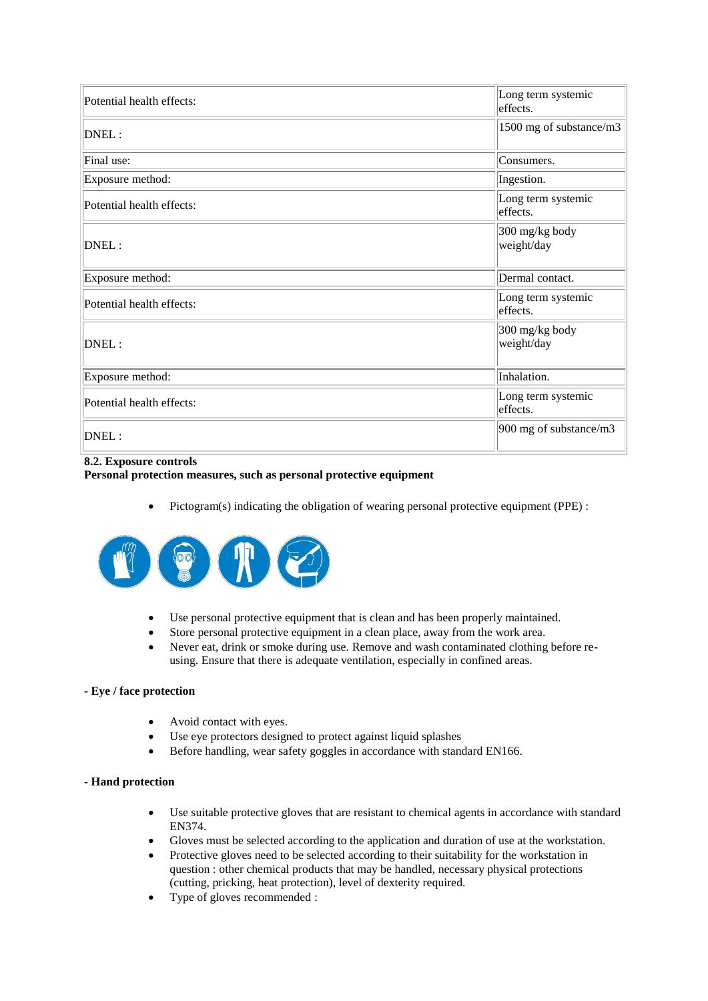| Potential health effects: | Long term systemic<br>effects. |
|---------------------------|--------------------------------|
| DNEL:                     | 1500 mg of substance/m3        |
| Final use:                | Consumers.                     |
| Exposure method:          | Ingestion.                     |
| Potential health effects: | Long term systemic<br>effects. |
| DNEL:                     | 300 mg/kg body<br>weight/day   |
| Exposure method:          | Dermal contact.                |
| Potential health effects: | Long term systemic<br>effects. |
| DNEL:                     | 300 mg/kg body<br>weight/day   |
| Exposure method:          | Inhalation.                    |
| Potential health effects: | Long term systemic<br>effects. |
| DNEL:                     | 900 mg of substance/m3         |

#### **8.2. Exposure controls Personal protection measures, such as personal protective equipment**

Pictogram(s) indicating the obligation of wearing personal protective equipment (PPE) :



- Use personal protective equipment that is clean and has been properly maintained.
- Store personal protective equipment in a clean place, away from the work area.
- Never eat, drink or smoke during use. Remove and wash contaminated clothing before reusing. Ensure that there is adequate ventilation, especially in confined areas.

### **- Eye / face protection**

- Avoid contact with eyes.
- Use eye protectors designed to protect against liquid splashes
- Before handling, wear safety goggles in accordance with standard EN166.

### **- Hand protection**

- Use suitable protective gloves that are resistant to chemical agents in accordance with standard EN374.
- Gloves must be selected according to the application and duration of use at the workstation.
- Protective gloves need to be selected according to their suitability for the workstation in question : other chemical products that may be handled, necessary physical protections (cutting, pricking, heat protection), level of dexterity required.
- Type of gloves recommended :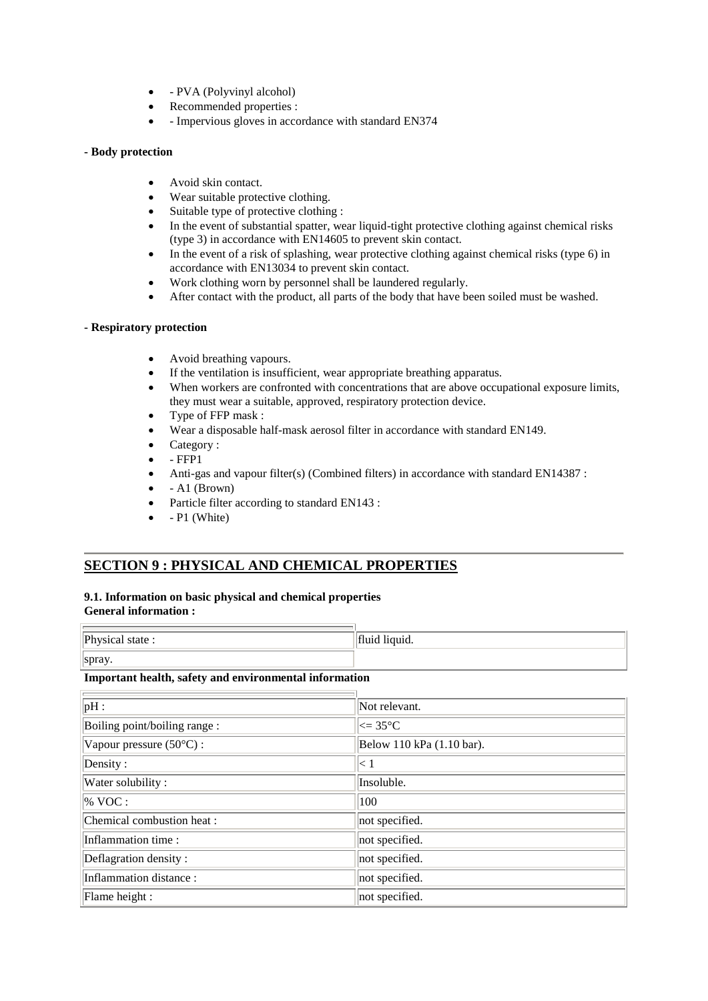- PVA (Polyvinyl alcohol)
- Recommended properties :
- Impervious gloves in accordance with standard EN374

#### **- Body protection**

- Avoid skin contact.
- Wear suitable protective clothing.
- Suitable type of protective clothing :
- In the event of substantial spatter, wear liquid-tight protective clothing against chemical risks (type 3) in accordance with EN14605 to prevent skin contact.
- $\bullet$  In the event of a risk of splashing, wear protective clothing against chemical risks (type 6) in accordance with EN13034 to prevent skin contact.
- Work clothing worn by personnel shall be laundered regularly.
- After contact with the product, all parts of the body that have been soiled must be washed.

#### **- Respiratory protection**

- Avoid breathing vapours.
- If the ventilation is insufficient, wear appropriate breathing apparatus.
- When workers are confronted with concentrations that are above occupational exposure limits, they must wear a suitable, approved, respiratory protection device.
- Type of FFP mask :
- Wear a disposable half-mask aerosol filter in accordance with standard EN149.
- Category :
- FFP1
- Anti-gas and vapour filter(s) (Combined filters) in accordance with standard EN14387 :
- A1 (Brown)
- Particle filter according to standard EN143 :
- P1 (White)

## **SECTION 9 : PHYSICAL AND CHEMICAL PROPERTIES**

### **9.1. Information on basic physical and chemical properties General information :**

| Physical state: | 14.01222<br>THUIG HYUIG. |
|-----------------|--------------------------|
| spray.          |                          |

#### **Important health, safety and environmental information**

| pH:                               | Not relevant.             |
|-----------------------------------|---------------------------|
| Boiling point/boiling range:      | $\approx$ 35°C            |
| Vapour pressure $(50^{\circ}C)$ : | Below 110 kPa (1.10 bar). |
| Density:                          | $\leq 1$                  |
| Water solubility:                 | Insoluble.                |
| $\%$ VOC :                        | 100                       |
| Chemical combustion heat :        | not specified.            |
| Inflammation time:                | not specified.            |
| Deflagration density:             | not specified.            |
| Inflammation distance:            | not specified.            |
| Flame height :                    | not specified.            |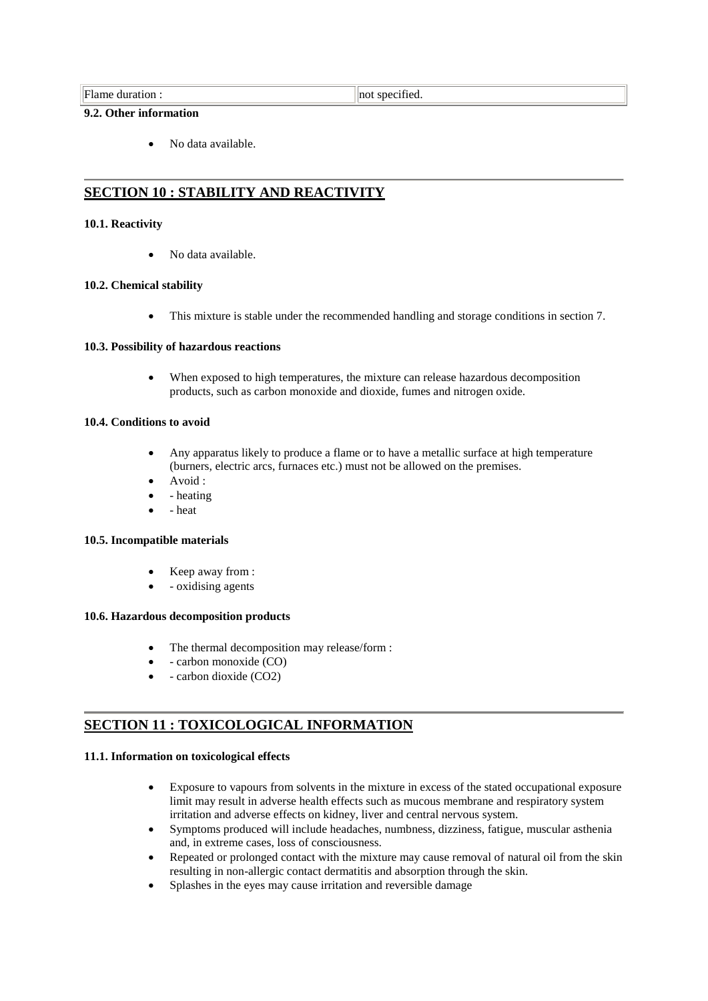#### **9.2. Other information**

No data available.

## **SECTION 10 : STABILITY AND REACTIVITY**

#### **10.1. Reactivity**

No data available.

#### **10.2. Chemical stability**

This mixture is stable under the recommended handling and storage conditions in section 7.

#### **10.3. Possibility of hazardous reactions**

 When exposed to high temperatures, the mixture can release hazardous decomposition products, such as carbon monoxide and dioxide, fumes and nitrogen oxide.

### **10.4. Conditions to avoid**

- Any apparatus likely to produce a flame or to have a metallic surface at high temperature (burners, electric arcs, furnaces etc.) must not be allowed on the premises.
- Avoid :
- heating
- heat

#### **10.5. Incompatible materials**

- Keep away from :
- oxidising agents

#### **10.6. Hazardous decomposition products**

- The thermal decomposition may release/form :
- carbon monoxide (CO)
- carbon dioxide (CO2)

## **SECTION 11 : TOXICOLOGICAL INFORMATION**

#### **11.1. Information on toxicological effects**

- Exposure to vapours from solvents in the mixture in excess of the stated occupational exposure limit may result in adverse health effects such as mucous membrane and respiratory system irritation and adverse effects on kidney, liver and central nervous system.
- Symptoms produced will include headaches, numbness, dizziness, fatigue, muscular asthenia and, in extreme cases, loss of consciousness.
- Repeated or prolonged contact with the mixture may cause removal of natural oil from the skin resulting in non-allergic contact dermatitis and absorption through the skin.
- Splashes in the eyes may cause irritation and reversible damage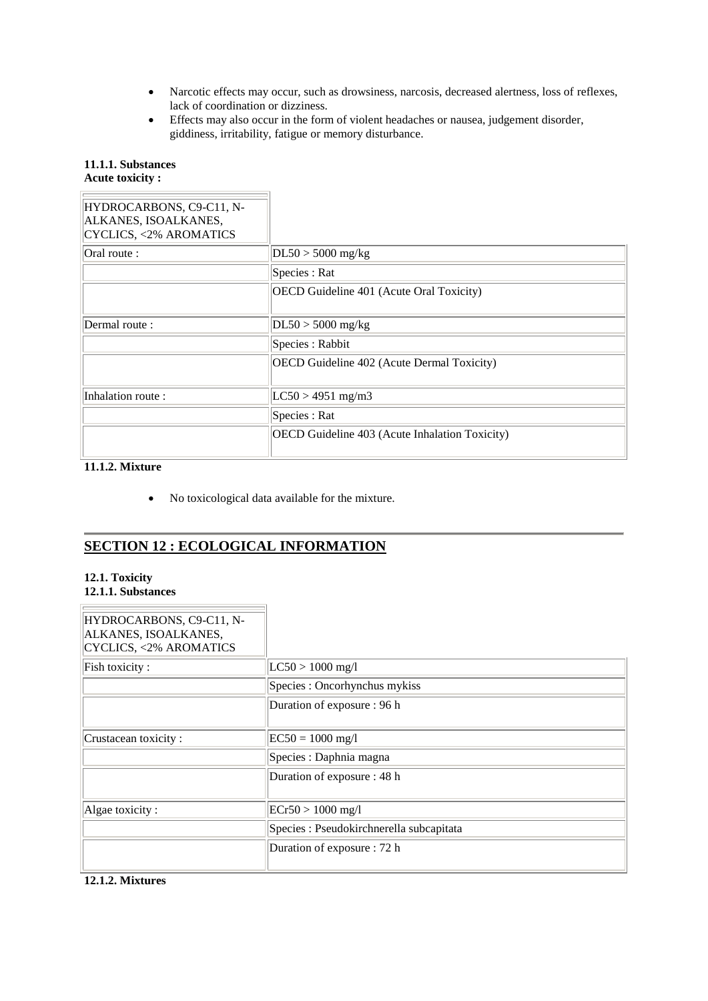- Narcotic effects may occur, such as drowsiness, narcosis, decreased alertness, loss of reflexes, lack of coordination or dizziness.
- Effects may also occur in the form of violent headaches or nausea, judgement disorder, giddiness, irritability, fatigue or memory disturbance.

## **11.1.1. Substances**

## **Acute toxicity :**

| HYDROCARBONS, C9-C11, N-<br>ALKANES, ISOALKANES,<br><b>CYCLICS, &lt;2% AROMATICS</b> |                                                       |
|--------------------------------------------------------------------------------------|-------------------------------------------------------|
| Oral route :                                                                         | $DL50 > 5000$ mg/kg                                   |
|                                                                                      | Species : Rat                                         |
|                                                                                      | OECD Guideline 401 (Acute Oral Toxicity)              |
| Dermal route:                                                                        | $DL50 > 5000$ mg/kg                                   |
|                                                                                      | Species : Rabbit                                      |
|                                                                                      | OECD Guideline 402 (Acute Dermal Toxicity)            |
| Inhalation route:                                                                    | $LC50 > 4951$ mg/m3                                   |
|                                                                                      | Species : Rat                                         |
|                                                                                      | <b>OECD</b> Guideline 403 (Acute Inhalation Toxicity) |

### **11.1.2. Mixture**

No toxicological data available for the mixture.

# **SECTION 12 : ECOLOGICAL INFORMATION**

#### **12.1. Toxicity 12.1.1. Substances**

| HYDROCARBONS, C9-C11, N-<br>ALKANES, ISOALKANES,<br><b>CYCLICS, &lt;2% AROMATICS</b> |                                          |
|--------------------------------------------------------------------------------------|------------------------------------------|
| Fish toxicity:                                                                       | $ LC50  > 1000$ mg/l                     |
|                                                                                      | Species : Oncorhynchus mykiss            |
|                                                                                      | Duration of exposure : 96 h              |
| Crustacean toxicity:                                                                 | $ EC50 = 1000$ mg/l                      |
|                                                                                      | Species : Daphnia magna                  |
|                                                                                      | Duration of exposure : 48 h              |
| Algae toxicity:                                                                      | $ ECr50 > 1000$ mg/l                     |
|                                                                                      | Species : Pseudokirchnerella subcapitata |
|                                                                                      | Duration of exposure : 72 h              |

## **12.1.2. Mixtures**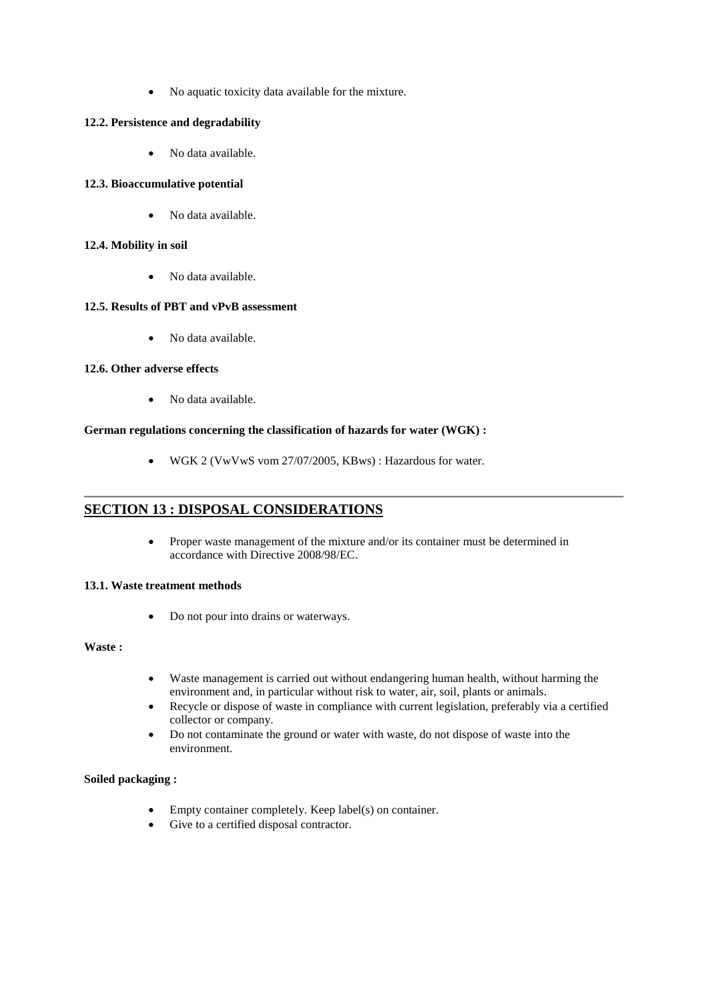No aquatic toxicity data available for the mixture.

### **12.2. Persistence and degradability**

• No data available.

### **12.3. Bioaccumulative potential**

• No data available.

### **12.4. Mobility in soil**

No data available.

### **12.5. Results of PBT and vPvB assessment**

• No data available.

### **12.6. Other adverse effects**

• No data available.

### **German regulations concerning the classification of hazards for water (WGK) :**

WGK 2 (VwVwS vom 27/07/2005, KBws) : Hazardous for water.

## **SECTION 13 : DISPOSAL CONSIDERATIONS**

• Proper waste management of the mixture and/or its container must be determined in accordance with Directive 2008/98/EC.

### **13.1. Waste treatment methods**

• Do not pour into drains or waterways.

### **Waste :**

- Waste management is carried out without endangering human health, without harming the environment and, in particular without risk to water, air, soil, plants or animals.
- Recycle or dispose of waste in compliance with current legislation, preferably via a certified collector or company.
- Do not contaminate the ground or water with waste, do not dispose of waste into the environment.

### **Soiled packaging :**

- Empty container completely. Keep label(s) on container.
- Give to a certified disposal contractor.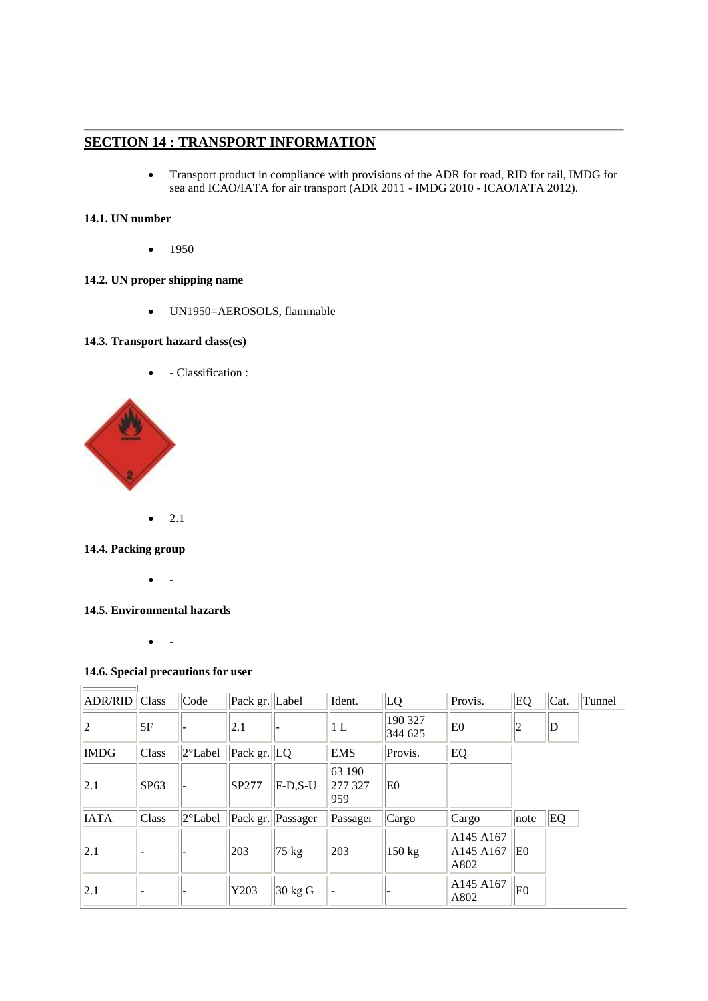## **SECTION 14 : TRANSPORT INFORMATION**

 Transport product in compliance with provisions of the ADR for road, RID for rail, IMDG for sea and ICAO/IATA for air transport (ADR 2011 - IMDG 2010 - ICAO/IATA 2012).

## **14.1. UN number**

 $-1950$ 

## **14.2. UN proper shipping name**

UN1950=AEROSOLS, flammable

### **14.3. Transport hazard class(es)**

• Classification :



 $\bullet$  2.1

### **14.4. Packing group**

 $\overline{a}$ 

**Contract Contract** 

 $\bullet$  -

## **14.5. Environmental hazards**

 $\bullet$  -

### **14.6. Special precautions for user**

| <b>ADR/RID</b> Class |       | Code              | Pack gr. Label                     |                   | Ident.                   | LQ                 | Provis.                        | EQ   | $\vert$ Cat. | Tunnel |
|----------------------|-------|-------------------|------------------------------------|-------------------|--------------------------|--------------------|--------------------------------|------|--------------|--------|
| $ 2\rangle$          | 5F    |                   | $ 2.1\rangle$                      |                   | 1 L                      | 190 327<br>344 625 | E <sub>0</sub>                 | 12   | $\mathbb D$  |        |
| <b>IMDG</b>          | Class | $2^{\circ}$ Label | $\left \text{Pack gr.}\right $ [LQ |                   | <b>EMS</b>               | Provis.            | EQ                             |      |              |        |
| 2.1                  | SP63  |                   | SP277                              | $F-D.S-U$         | 63 190<br>277 327<br>959 | E0                 |                                |      |              |        |
| <b>IATA</b>          | Class | $2^{\circ}$ Label | Pack gr.                           | Passager          | Passager                 | Cargo              | Cargo                          | note | EQ           |        |
| $ 2.1\rangle$        |       |                   | 203                                | $ 75 \text{ kg} $ | 203                      | $150 \text{ kg}$   | A145 A167<br>A145 A167<br>A802 | ΙEΟ  |              |        |
| 2.1                  |       |                   | Y203                               | $30 \text{ kg}$ G |                          |                    | A145 A167<br>A802              | E0   |              |        |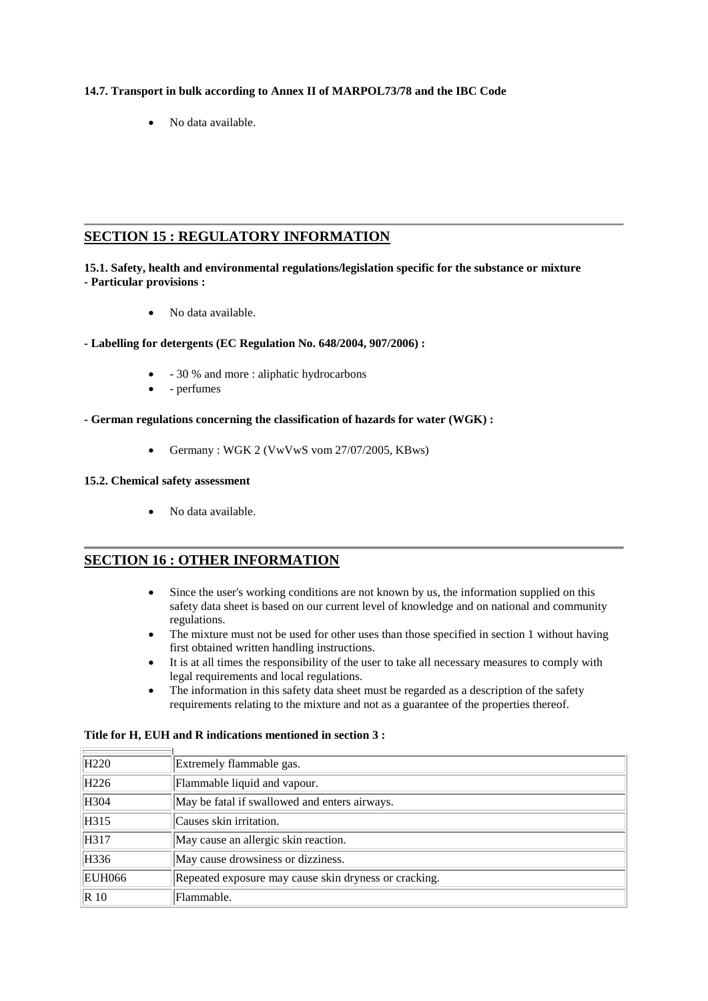### **14.7. Transport in bulk according to Annex II of MARPOL73/78 and the IBC Code**

No data available.

## **SECTION 15 : REGULATORY INFORMATION**

### **15.1. Safety, health and environmental regulations/legislation specific for the substance or mixture - Particular provisions :**

• No data available.

### **- Labelling for detergents (EC Regulation No. 648/2004, 907/2006) :**

- 30 % and more : aliphatic hydrocarbons
- - perfumes
- **- German regulations concerning the classification of hazards for water (WGK) :**
	- Germany : WGK 2 (VwVwS vom 27/07/2005, KBws)

### **15.2. Chemical safety assessment**

 $\sim$ 

 $\equiv$ 

No data available.

## **SECTION 16 : OTHER INFORMATION**

- Since the user's working conditions are not known by us, the information supplied on this safety data sheet is based on our current level of knowledge and on national and community regulations.
- The mixture must not be used for other uses than those specified in section 1 without having first obtained written handling instructions.
- It is at all times the responsibility of the user to take all necessary measures to comply with legal requirements and local regulations.
- The information in this safety data sheet must be regarded as a description of the safety requirements relating to the mixture and not as a guarantee of the properties thereof.

| H <sub>220</sub> | Extremely flammable gas.                              |
|------------------|-------------------------------------------------------|
| H <sub>226</sub> | Flammable liquid and vapour.                          |
| H304             | May be fatal if swallowed and enters airways.         |
| H315             | Causes skin irritation.                               |
| H317             | May cause an allergic skin reaction.                  |
| H336             | May cause drowsiness or dizziness.                    |
| <b>EUH066</b>    | Repeated exposure may cause skin dryness or cracking. |
| $\vert R\ 10$    | Flammable.                                            |

### **Title for H, EUH and R indications mentioned in section 3 :**